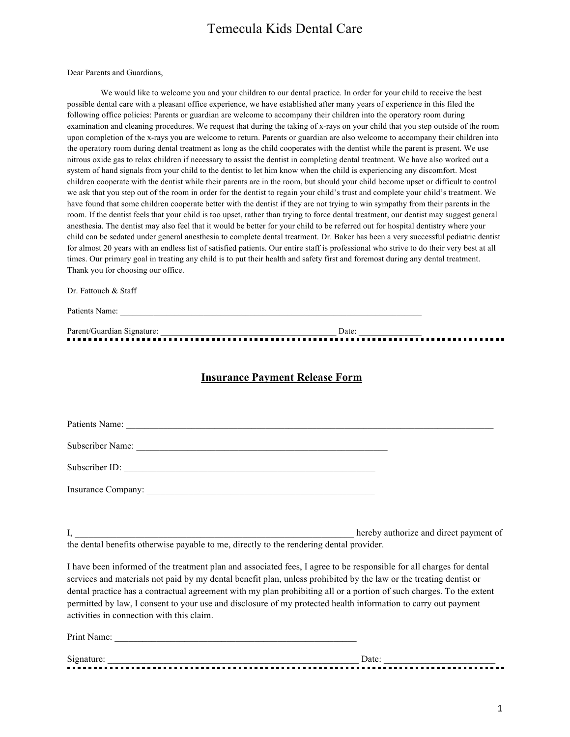Dear Parents and Guardians,

We would like to welcome you and your children to our dental practice. In order for your child to receive the best possible dental care with a pleasant office experience, we have established after many years of experience in this filed the following office policies: Parents or guardian are welcome to accompany their children into the operatory room during examination and cleaning procedures. We request that during the taking of x-rays on your child that you step outside of the room upon completion of the x-rays you are welcome to return. Parents or guardian are also welcome to accompany their children into the operatory room during dental treatment as long as the child cooperates with the dentist while the parent is present. We use nitrous oxide gas to relax children if necessary to assist the dentist in completing dental treatment. We have also worked out a system of hand signals from your child to the dentist to let him know when the child is experiencing any discomfort. Most children cooperate with the dentist while their parents are in the room, but should your child become upset or difficult to control we ask that you step out of the room in order for the dentist to regain your child's trust and complete your child's treatment. We have found that some children cooperate better with the dentist if they are not trying to win sympathy from their parents in the room. If the dentist feels that your child is too upset, rather than trying to force dental treatment, our dentist may suggest general anesthesia. The dentist may also feel that it would be better for your child to be referred out for hospital dentistry where your child can be sedated under general anesthesia to complete dental treatment. Dr. Baker has been a very successful pediatric dentist for almost 20 years with an endless list of satisfied patients. Our entire staff is professional who strive to do their very best at all times. Our primary goal in treating any child is to put their health and safety first and foremost during any dental treatment. Thank you for choosing our office.

Dr. Fattouch & Staff

Patients Name:

Parent/Guardian Signature: \_\_\_\_\_\_\_\_\_\_\_\_\_\_\_\_\_\_\_\_\_\_\_\_\_\_\_\_\_\_\_\_\_\_\_\_\_\_\_\_\_\_ Date: \_\_\_\_\_\_\_\_\_\_\_\_\_\_\_

## **Insurance Payment Release Form**

| Subscriber Name:<br><u> 1989 - Andrea Stadt Britain, amerikansk politik (d. 1989)</u> |  |
|---------------------------------------------------------------------------------------|--|
| Subscriber ID:                                                                        |  |
|                                                                                       |  |

hereby authorize and direct payment of the dental benefits otherwise payable to me, directly to the rendering dental provider.

I have been informed of the treatment plan and associated fees, I agree to be responsible for all charges for dental services and materials not paid by my dental benefit plan, unless prohibited by the law or the treating dentist or dental practice has a contractual agreement with my plan prohibiting all or a portion of such charges. To the extent permitted by law, I consent to your use and disclosure of my protected health information to carry out payment activities in connection with this claim.

| Print  |  |
|--------|--|
| Signat |  |
|        |  |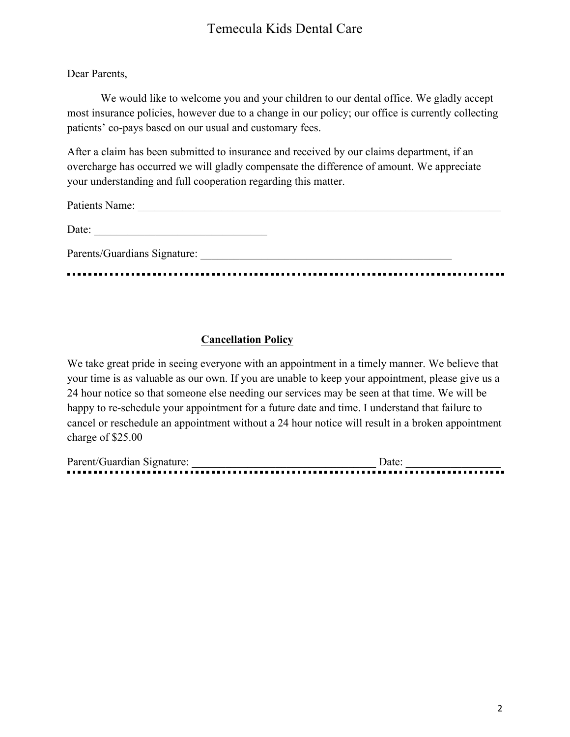# Dear Parents,

We would like to welcome you and your children to our dental office. We gladly accept most insurance policies, however due to a change in our policy; our office is currently collecting patients' co-pays based on our usual and customary fees.

After a claim has been submitted to insurance and received by our claims department, if an overcharge has occurred we will gladly compensate the difference of amount. We appreciate your understanding and full cooperation regarding this matter.

Patients Name:

| Date:                        |  |  |  |
|------------------------------|--|--|--|
| Parents/Guardians Signature: |  |  |  |

# **Cancellation Policy**

We take great pride in seeing everyone with an appointment in a timely manner. We believe that your time is as valuable as our own. If you are unable to keep your appointment, please give us a 24 hour notice so that someone else needing our services may be seen at that time. We will be happy to re-schedule your appointment for a future date and time. I understand that failure to cancel or reschedule an appointment without a 24 hour notice will result in a broken appointment charge of \$25.00

| Parent/Guardian Signature: | Jate |
|----------------------------|------|
|                            |      |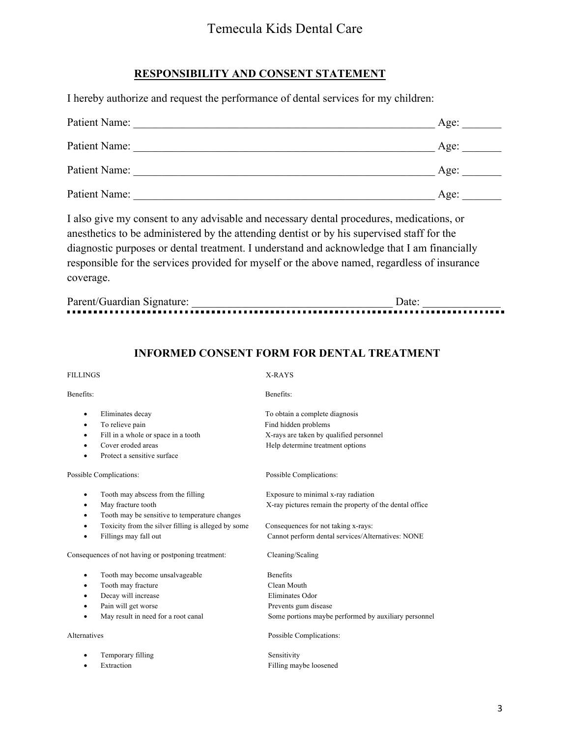# **RESPONSIBILITY AND CONSENT STATEMENT**

I hereby authorize and request the performance of dental services for my children:

| Patient Name: | Age: |
|---------------|------|
| Patient Name: | Age: |
| Patient Name: | Age: |
| Patient Name: | Age: |

I also give my consent to any advisable and necessary dental procedures, medications, or anesthetics to be administered by the attending dentist or by his supervised staff for the diagnostic purposes or dental treatment. I understand and acknowledge that I am financially responsible for the services provided for myself or the above named, regardless of insurance coverage.

| Parent/Guardian Signature: | Jate. |
|----------------------------|-------|
|                            |       |

# **INFORMED CONSENT FORM FOR DENTAL TREATMENT**

# Benefits: Benefits: Benefits:

|              | Eliminates decay                                    | To obtain a complete diagnosis                          |
|--------------|-----------------------------------------------------|---------------------------------------------------------|
|              | To relieve pain                                     | Find hidden problems                                    |
| $\bullet$    | Fill in a whole or space in a tooth                 | X-rays are taken by qualified personnel                 |
| $\bullet$    | Cover eroded areas                                  | Help determine treatment options                        |
|              | Protect a sensitive surface                         |                                                         |
|              | Possible Complications:                             | Possible Complications:                                 |
| ٠            | Tooth may abscess from the filling                  | Exposure to minimal x-ray radiation                     |
| ٠            | May fracture tooth                                  | X-ray pictures remain the property of the dental office |
| ٠            | Tooth may be sensitive to temperature changes       |                                                         |
|              | Toxicity from the silver filling is alleged by some | Consequences for not taking x-rays:                     |
| ٠            | Fillings may fall out                               | Cannot perform dental services/Alternatives: NONE       |
|              | Consequences of not having or postponing treatment: | Cleaning/Scaling                                        |
| ٠            | Tooth may become unsalvageable                      | <b>Benefits</b>                                         |
|              | Tooth may fracture                                  | Clean Mouth                                             |
|              | Decay will increase                                 | Eliminates Odor                                         |
| ٠            | Pain will get worse                                 | Prevents gum disease                                    |
|              | May result in need for a root canal                 | Some portions maybe performed by auxiliary personnel    |
| Alternatives |                                                     | Possible Complications:                                 |
| ٠            | Temporary filling                                   | Sensitivity                                             |

Extraction Filling maybe loosened

FILLINGS X-RAYS

3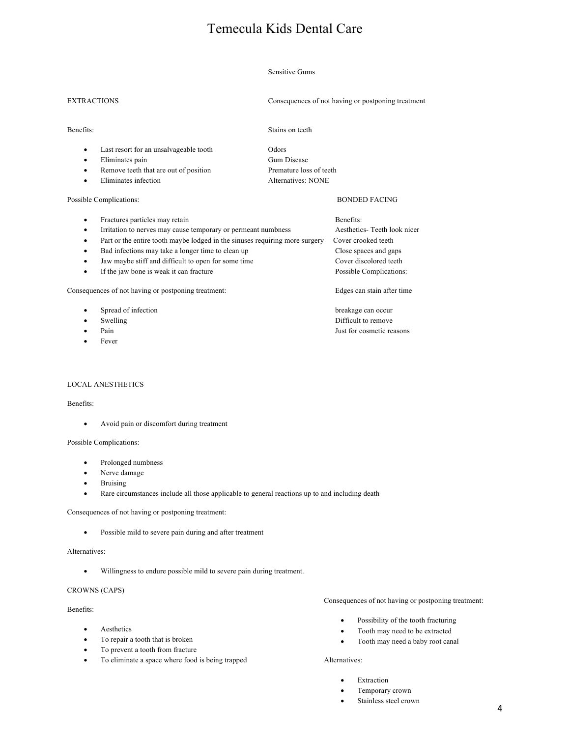## Sensitive Gums

EXTRACTIONS Consequences of not having or postponing treatment

## Benefits: Stains on teeth

- Last resort for an unsalvageable tooth Odors
- Eliminates pain Gum Disease
- Remove teeth that are out of position Premature loss of teeth
- Eliminates infection Alternatives: NONE

## Possible Complications: BONDED FACING

- Fractures particles may retain Benefits: • Irritation to nerves may cause temporary or permeant numbness Aesthetics- Teeth look nicer • Part or the entire tooth maybe lodged in the sinuses requiring more surgery Cover crooked teeth • Bad infections may take a longer time to clean up Close spaces and gaps • Jaw maybe stiff and difficult to open for some time Cover discolored teeth
- 
- 

Consequences of not having or postponing treatment: Edges can stain after time

- **Spread of infection** breakage can occur breakage can occur
- 
- 
- **Fever**

## LOCAL ANESTHETICS

## Benefits:

• Avoid pain or discomfort during treatment

## Possible Complications:

- Prolonged numbness
- Nerve damage
- **Bruising**
- Rare circumstances include all those applicable to general reactions up to and including death

## Consequences of not having or postponing treatment:

• Possible mild to severe pain during and after treatment

## Alternatives:

• Willingness to endure possible mild to severe pain during treatment.

## CROWNS (CAPS)

## Benefits:

- Aesthetics
- To repair a tooth that is broken
- To prevent a tooth from fracture
- To eliminate a space where food is being trapped
- Consequences of not having or postponing treatment:
	- Possibility of the tooth fracturing
	- Tooth may need to be extracted
	- Tooth may need a baby root canal

## Alternatives:

- **Extraction**
- Temporary crown
- Stainless steel crown

# • If the jaw bone is weak it can fracture Possible Complications:

Swelling Difficult to remove • Pain Just for cosmetic reasons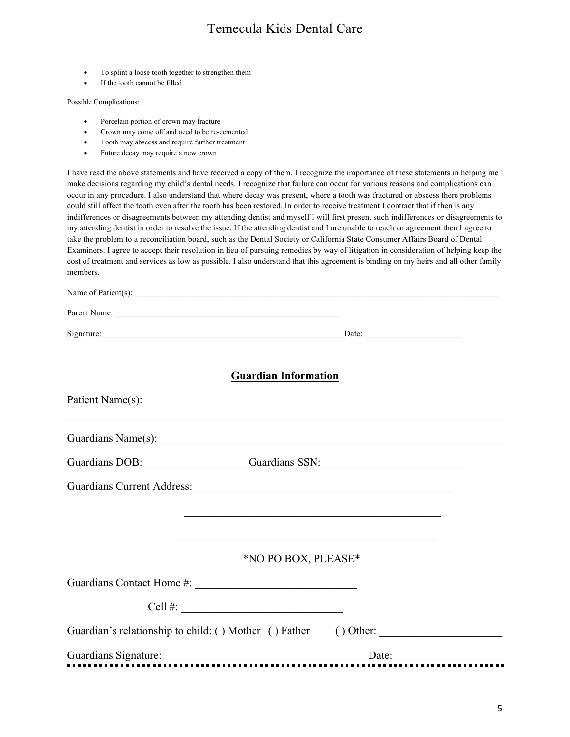- To splint a loose tooth together to strengthen them
- If the tooth cannot be filled

Possible Complications:

- Porcelain portion of crown may fracture
- Crown may come off and need to be re-cemented
- Tooth may abscess and require further treatment
- Future decay may require a new crown

I have read the above statements and have received a copy of them. I recognize the importance of these statements in helping me make decisions regarding my child's dental needs. I recognize that failure can occur for various reasons and complications can occur in any procedure. I also understand that where decay was present, where a tooth was fractured or abscess there problems could still affect the tooth even after the tooth has been restored. In order to receive treatment I contract that if then is any indifferences or disagreements between my attending dentist and myself I will first present such indifferences or disagreements to my attending dentist in order to resolve the issue. If the attending dentist and I are unable to reach an agreement then I agree to take the problem to a reconciliation board, such as the Dental Society or California State Consumer Affairs Board of Dental Examiners. I agree to accept their resolution in lieu of pursuing remedies by way of litigation in consideration of helping keep the cost of treatment and services as low as possible. I also understand that this agreement is binding on my heirs and all other family members.

| Name of Patient(s): $\qquad \qquad$                                                                                  |  |
|----------------------------------------------------------------------------------------------------------------------|--|
|                                                                                                                      |  |
| Signature: Date: Date: Date: Date:                                                                                   |  |
| <b>Guardian Information</b><br>Patient Name(s):                                                                      |  |
|                                                                                                                      |  |
|                                                                                                                      |  |
| Guardians DOB: Guardians SSN: Guardians SSN:                                                                         |  |
| <u> 1990 - Para Santa Antonio de Maria de Maria de Maria de Maria de Maria de Maria de Maria de Maria de Maria d</u> |  |
| <u> 1989 - Johann John Stone, markin film yn y brenin y brenin y brenin y brenin y brenin y brenin y brenin y br</u> |  |
| *NO PO BOX, PLEASE*                                                                                                  |  |
|                                                                                                                      |  |
| Cell #: $\qquad \qquad$                                                                                              |  |
| Guardian's relationship to child: () Mother () Father () Other: _________________                                    |  |
|                                                                                                                      |  |